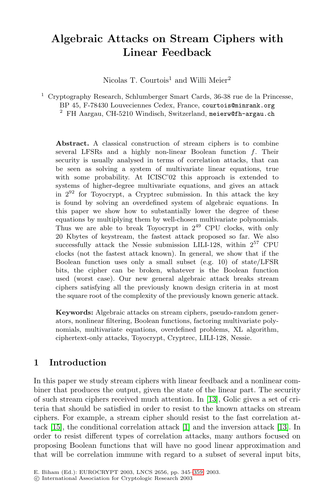# **Algebraic Attacks on Stream Ciphers with Linear Feedback**

Nicolas T. Courtois<sup>1</sup> and Willi Meier<sup>2</sup>

<sup>1</sup> Cryptography Research, Schlumberger Smart Cards, 36-38 rue de la Princesse, BP 45, F-78430 Louveciennes Cedex, France, courtois@minrank.org

<sup>2</sup> FH Aargau, CH-5210 Windisch, Switzerland, meierw@fh-argau.ch

**Abstract.** A classical construction of stream ciphers is to combine several LFSRs and a highly non-linear Boolean function  $f$ . Their security is usually analysed in terms of correlation attacks, that can be seen as solving a system of multivariate linear equations, true with some probability. At ICISC'02 this approach is extended to systems of higher-degree multivariate equations, and gives an attack in 2<sup>92</sup> for Toyocrypt, a Cryptrec submission. In this attack the key is found by solving an overdefined system of algebraic equations. In this paper we show how to substantially lower the degree of these equations by multiplying them by well-chosen multivariate polynomials. Thus we are able to break Toyocrypt in  $2^{49}$  CPU clocks, with only 20 Kbytes of keystream, the fastest attack proposed so far. We also successfully attack the Nessie submission LILI-128, within  $2^{57}$  CPU clocks (not the fastest attack known). In general, we show that if the Boolean function uses only a small subset (e.g. 10) of state/LFSR bits, the cipher can be broken, whatever is the Boolean function used (worst case). Our new general algebraic attack breaks stream ciphers satisfying all the previously known design criteria in at most the square root of the complexity of the previously known generic attack.

**Keywords:** Algebraic attacks on stream ciphers, pseudo-random generators, nonlinear filtering, Boolean functions, factoring multivariate polynomials, multivari[at](#page-13-0)e equations, overdefined pr[oble](#page-14-0)ms, XL algorithm, ciphertext-only attacks, Toyocrypt, Cryptrec, LILI-128, Nessie.

# **1 Introduction**

In this paper we study str[eam](#page-13-0) ciphers with linear feedback and a nonlinear combiner that produces the output, given the state of the linear part. The security of such stream ciphers received much attention. In [13], Golic gives a set of criteria that should be satisfied in order to resist to the known attacks on stream ciphers. For example, a stream cipher should resist to the fast correlation attack [15], the conditional correlation attack [1] and the inversion attack [13]. In order to resist different types of correlation attacks, many authors focused on proposing Boolean functions that will have no good linear approximation and that will be correlation immune with regard to a subset of several input bits,

E. Biham (Ed.): EUROCRYPT 2003, LNCS 2656, pp. 345–359, 2003.

c International Association for Cryptologic Research 2003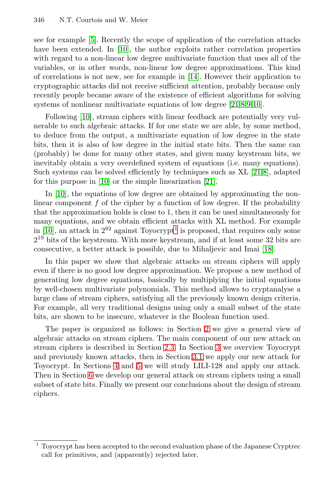see for example [\[5\]](#page-13-0). Recently the scope of application of the correlation attacks have been extended. In [\[10\]](#page-14-0), the author exploits rather correlation properties with regard to a non-linear low degree multivariate function that uses all of the variables, or in other words, non-linear low degree approximations. This kind of correlations is not new, see for example in [\[14\]](#page-14-0). However their application to cryptographic attacks did not receive sufficient attention, probably because only recently people became aware of the existence of efficient algorithms for solving systems of nonlinear multivariate equations of low degree [\[21,8,9,10\]](#page-14-0).

Following [\[10\]](#page-14-0), stream ciphers with linear feedback are potentially very vulnerable to such algebraic attacks. If for one state we are able, by some method, to deduce from the output, a multivariate equation of low degree in the state bits, then it is also of low degree in the initial state bits. Then the same can (probably) be done for many other states, and given many keystream bits, we inevitably obtain a very overdefined system of equations (i.e. many equations). Such systems can be solved efficiently by techniques such as XL [\[21,8\]](#page-14-0), adapted for this purpose in [\[10\]](#page-14-0) or the simple linearization [\[21\]](#page-14-0).

In [\[10\]](#page-14-0), the equations of low degree are obtained by approximating the nonlinear component  $f$  of the cipher by a function of low degree. If the probability that the approximation holds is close to 1, then it can be used simultaneously for many equations, and we obtain efficient attacks with XL method. For example in [\[10\]](#page-14-0), an attack in  $2^{92}$  against Toyocrypt<sup>1</sup> is proposed, that requires only some  $2^{19}$  bits of the keystream. With more keystream, and if at least some 32 bits are consecutive, a better attack is possible, due to Mihaljevic and Imai [\[18\]](#page-14-0).

In this paper we show that algebraic attacks on stream ciphers will apply even if there is no good low degree approximation. We propose a new method of generating low degree equations, basically by multiplying the initial equations by well-chosen multivariate polynomials. This method allows to cryptanalyse a large class of stream ciphers, satisfying all the previously known design criteria. For example, all very traditional designs using only a small subset of the state bits, are shown to be insecure, whatever is the Boolean function used.

The paper is organized as follows: in Section 2 we give a general view of algebraic attacks on stream ciphers. The main component of our new attack on stream ciphers is described in Section [2.3.](#page-3-0) In Section [3](#page-5-0) we overview Toyocrypt and previously known attacks, then in Section [3.1](#page-5-0) we apply our new attack for Toyocrypt. In Sections [4](#page-6-0) and [5](#page-7-0) we will study LILI-128 and apply our attack. Then in Section [6](#page-9-0) we develop our general attack on stream ciphers using a small subset of state bits. Finally we present our conclusions about the design of stream ciphers.

 $^{\rm 1}$  Toyocrypt has been accepted to the second evaluation phase of the Japanese Cryptrec call for primitives, and (apparently) rejected later.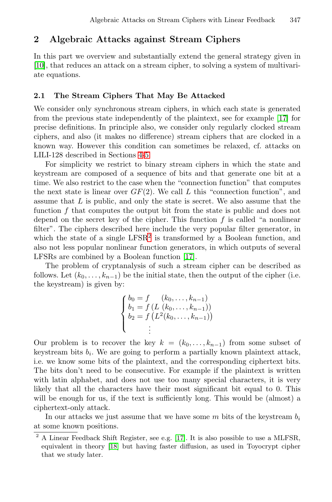# **2 Algebraic Attacks against Stream Ciphers**

In this part we overview and substantially extend the general strategy given in [\[10\]](#page-14-0), that reduces an attack on a stream cipher, to solving a system of multivariate equations.

#### **2.1 The Stream Ciphers That May Be Attacked**

We consider only synchronous stream ciphers, in which each state is generated from the previous state independently of the plaintext, see for example [\[17\]](#page-14-0) for precise definitions. In principle also, we consider only regularly clocked stream ciphers, and also (it makes no difference) stream ciphers that are clocked in a known way. However this condition can sometimes be relaxed, cf. attacks on LILI-128 described in Sections [4](#page-6-0)[-5.](#page-7-0)

For simplicity we restrict to binary stream ciphers in which the state and keystream are composed of a sequence of bits and that generate one bit at a time. We also restrict to the case when the "connection function" that computes the next state is linear over  $GF(2)$ . We call L this "connection function", and assume that  $L$  is public, and only the state is secret. We also assume that the function f that computes the output bit from the state is public and does not depend on the secret key of the cipher. This function  $f$  is called "a nonlinear" filter". The ciphers described here include the very popular filter generator, in which the state of a single  $LFSR<sup>2</sup>$  is transformed by a Boolean function, and also not less popular nonlinear function generators, in which outputs of several LFSRs are combined by a Boolean function [\[17\]](#page-14-0).

The problem of cryptanalysis of such a stream cipher can be described as follows. Let  $(k_0,\ldots,k_{n-1})$  be the initial state, then the output of the cipher (i.e. the keystream) is given by:

$$
\begin{cases}\nb_0 = f & (k_0, \dots, k_{n-1}) \\
b_1 = f (L (k_0, \dots, k_{n-1})) \\
b_2 = f (L^2 (k_0, \dots, k_{n-1})) \\
\vdots\n\end{cases}
$$

Our problem is to recover the key  $k = (k_0, \ldots, k_{n-1})$  from some subset of keystream bits  $b_i$ . We are going to perform a partially known plaintext attack, i.e. we know some bits of the plaintext, and the corresponding ciphertext bits. The bits don't need to be consecutive. For example if the plaintext is written with latin alphabet, and does not use too many special characters, it is very likely that all the characters have their most significant bit equal to 0. This will be enough for us, if the text is sufficiently long. This would be (almost) a ciphertext-only attack.

In our attacks we just assume that we have some  $m$  bits of the keystream  $b_i$ at some known positions.

<sup>&</sup>lt;sup>2</sup> A Linear Feedback Shift Register, see e.g. [\[17\]](#page-14-0). It is also possible to use a MLFSR, equivalent in theory [\[18\]](#page-14-0) but having faster diffusion, as used in Toyocrypt cipher that we study later.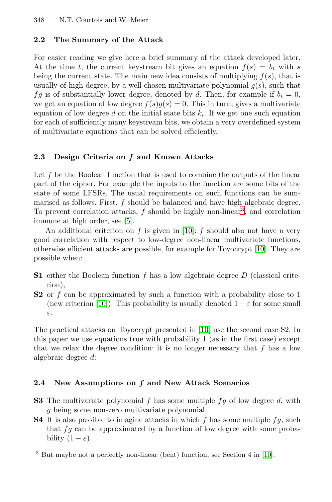#### <span id="page-3-0"></span>**2.2 The Summary of the Attack**

For easier reading we give here a brief summary of the attack developed later. At the time t, the current keystream bit gives an equation  $f(s) = b_t$  with s being the current state. The main new idea consists of multiplying  $f(s)$ , that is usually of high degree, by a well chosen multivariate polynomial  $g(s)$ , such that fg is of substantially lower degree, denoted by d. Then, for example if  $b_t = 0$ , we get an equation of low degree  $f(s)g(s) = 0$ . This in turn, gives a multivariate equation of low degree d on the initial state bits  $k_i$ . If we get one such equation for each of sufficiently many keystream bits, we obtain a very overdefined system of multivariate equations that can be solved efficiently.

### **2.3 Design Criteria on** *f* **and Known Attacks**

Let  $f$  be the Boolean function that is used to combine the outputs of the linear part of the cipher. For example the inputs to the function are some bits of the state of some LFSRs. The usual requirements on such functions can be summarised as follows. First, f should be balanced and have high algebraic degree. To prevent correlation attacks,  $f$  should be highly non-linear<sup>3</sup>, and correlation immune at high order, see [\[5\]](#page-13-0).

An additional criterion on f is given in [\[10\]](#page-14-0): f should also not have a very good correlation with respect to low-degree non-linear multivariate functions, otherwise efficient attacks are possible, for example for Toyocrypt [\[10\]](#page-14-0). They are possible when:

- **S1** either the Boolean function f has a low algebraic degree D (classical criterion),
- **S2** or f can be approximated by such a function with a probability close to 1 (new criterion [\[10\]](#page-14-0)). This probability is usually denoted  $1 - \varepsilon$  for some small ε.

The practical attacks on Toyocrypt presented in [\[10\]](#page-14-0) use the second case S2. In this paper we use equations true with probability 1 (as in the first case) except that we relax the degree condition: it is no longer necessary that  $f$  has a low algebraic degree d:

### **2.4 New Assumptions on** *f* **and New Attack Scenarios**

- **S3** The multivariate polynomial f has some multiple  $fg$  of low degree d, with g being some non-zero multivariate polynomial.
- **S4** It is also possible to imagine attacks in which f has some multiple  $fg$ , such that  $fg$  can be approximated by a function of low degree with some probability  $(1 - \varepsilon)$ .

But maybe not a perfectly non-linear (bent) function, see Section 4 in [\[10\]](#page-14-0).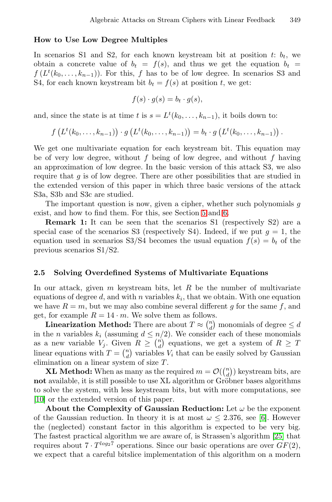#### **How to Use Low Degree Multiples**

In scenarios S1 and S2, for each known keystream bit at position  $t: b_t$ , we obtain a concrete value of  $b_t = f(s)$ , and thus we get the equation  $b_t =$  $f(L^t(k_0,\ldots,k_{n-1}))$ . For this, f has to be of low degree. In scenarios S3 and S4, for each known keystream bit  $b_t = f(s)$  at position t, we get:

$$
f(s) \cdot g(s) = b_t \cdot g(s),
$$

and, since the state is at time t is  $s = L^t(k_0, \ldots, k_{n-1})$ , it boils down to:

$$
f(L^t(k_0,...,k_{n-1})) \cdot g(L^t(k_0,...,k_{n-1})) = b_t \cdot g(L^t(k_0,...,k_{n-1}))
$$
.

We get one multivariate equation for each keystream bit. This equation may be of very low degree, without f being of low degree, and without f having an approximation of low degree. In the basic version of this attack S3, we also require that  $g$  is of low degree. There are other possibilities that are studied in the extended version of this paper in which three basic versions of the attack S3a, S3b and S3c are studied.

The important question is now, given a cipher, whether such polynomials g exist, and how to find them. For this, see Section [5](#page-7-0) and [6.](#page-9-0)

**Remark 1:** It can be seen that the scenarios S1 (respectively S2) are a special case of the scenarios S3 (respectively S4). Indeed, if we put  $g = 1$ , the equation used in scenarios S3/S4 becomes the usual equation  $f(s) = b_t$  of the previous scenarios S1/S2.

#### **2.5 Solving Overdefined Systems of Multivariate Equations**

In our attack, given  $m$  keystream bits, let  $R$  be the number of multivariate equations of degree d, and with n variables  $k_i$ , that we obtain. With one equation we have  $R = m$ , but we may also combine several different g for the same f, and get, for example  $R = 14 \cdot m$ . We solve them as follows.

**Linearization Method:** There are about  $T \approx \binom{n}{d}$  monomials of degree  $\leq d$ in the *n* variables  $k_i$  (assuming  $d \leq n/2$ ). We consider each of these monomials as a new variable  $V_j$ . Given  $R \geq \binom{n}{d}$  equations, we get a system of  $R \geq T$ linear equations with  $T = \binom{n}{d}$  variables  $V_i$  that can be easily solved by Gaussian elimination on a linear system of size T.

**XL Method:** When as many as the required  $m = \mathcal{O}(\binom{n}{d})$  keystream bits, are **not** available, it is still possible to use XL algorithm or Gröbner bases algorithms to solve the system, with less keystream bits, but with more computations, see [\[10\]](#page-14-0) or the extended version of this paper.

**About the Complexity of Gaussian Reduction:** Let  $\omega$  be the exponent of the Gaussian reduction. In theory it is at most  $\omega \leq 2.376$ , see [\[6\]](#page-14-0). However the (neglected) constant factor in this algorithm is expected to be very big. The fastest practical algorithm we are aware of, is Strassen's algorithm [\[25\]](#page-14-0) that requires about  $7 \cdot T^{\log_2 7}$  operations. Since our basic operations are over  $GF(2)$ , we expect that a careful bitslice implementation of this algorithm on a modern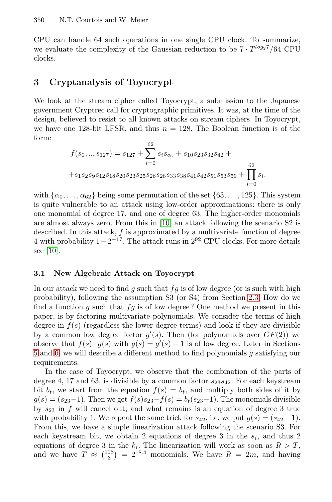<span id="page-5-0"></span>CPU can handle 64 such operations in one single CPU clock. To summarize, we evaluate the complexity of the Gaussian reduction to be  $7 \cdot T^{\log_2 7}/64$  CPU clocks.

### **3 Cryptanalysis of Toyocrypt**

We look at the stream cipher called Toyocrypt, a submission to the Japanese government Cryptrec call for cryptographic primitives. It was, at the time of the design, believed to resist to all known attacks on stream ciphers. In Toyocrypt, we have one 128-bit LFSR, and thus  $n = 128$ . The Boolean function is of the form:

$$
f(s_0,..,s_{127}) = s_{127} + \sum_{i=0}^{62} s_i s_{\alpha_i} + s_{10} s_{23} s_{32} s_{42} + + s_1 s_2 s_9 s_{12} s_{18} s_{20} s_{23} s_{25} s_{26} s_{28} s_{33} s_{38} s_{41} s_{42} s_{51} s_{53} s_{59} + \prod_{i=0}^{62} s_i.
$$

with  $\{\alpha_0, \ldots, \alpha_{62}\}\$  being some permutation of the set  $\{63, \ldots, 125\}$ . This system is quite vulnerable to an attack using low-order approximations: there is only one monomial of degree 17, and one of degree 63. The higher-order monomials are almost always zero. From this in [\[10\]](#page-14-0) an attack following the scenario S2 is described. In this attack, f is approximated by a multivariate function of degree 4 with probability  $1-2^{-17}$ . The attack runs in  $2^{92}$  CPU clocks. For more details see [\[10\]](#page-14-0).

#### **3.1 New Algebraic Attack on Toyocrypt**

In our attack we need to find g such that  $fg$  is of low degree (or is such with high probability), following the assumption S3 (or S4) from Section [2.3.](#page-3-0) How do we find a function g such that  $fg$  is of low degree? One method we present in this paper, is by factoring multivariate polynomials. We consider the terms of high degree in  $f(s)$  (regardless the lower degree terms) and look if they are divisible by a common low degree factor  $g'(s)$ . Then (for polynomials over  $GF(2)$ ) we observe that  $f(s) \cdot g(s)$  with  $g(s) = g'(s) - 1$  is of low degree. Later in Sections [5](#page-7-0) and [6,](#page-9-0) we will describe a different method to find polynomials g satisfying our requirements.

In the case of Toyocrypt, we observe that the combination of the parts of degree 4, 17 and 63, is divisible by a common factor  $s_{23}s_{42}$ . For each keystream bit  $b_t$ , we start from the equation  $f(s) = b_t$ , and multiply both sides of it by  $g(s)=(s_{23}-1)$ . Then we get  $f(s)s_{23}-f(s) = b_t(s_{23}-1)$ . The monomials divisible by  $s_{23}$  in f will cancel out, and what remains is an equation of degree 3 true with probability 1. We repeat the same trick for  $s_{42}$ , i.e. we put  $g(s)=(s_{42}-1)$ . From this, we have a simple linearization attack following the scenario S3. For each keystream bit, we obtain 2 equations of degree 3 in the  $s_i$ , and thus 2 equations of degree 3 in the  $k_i$ . The linearization will work as soon as  $R>T$ , and we have  $T \approx \binom{128}{3} = 2^{18.4}$  monomials. We have  $R = 2m$ , and having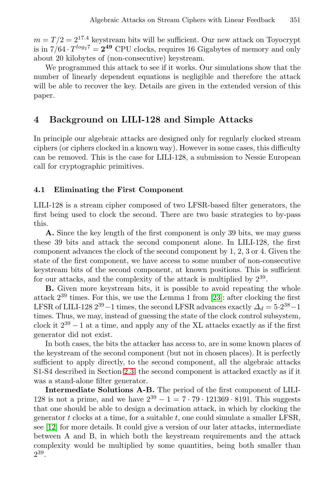<span id="page-6-0"></span> $m = T/2 = 2^{17.4}$  keystream bits will be sufficient. Our new attack on Toyocrypt is in  $7/64 \cdot T^{\log_2 7} = 2^{49}$  CPU clocks, requires 16 Gigabytes of memory and only about 20 kilobytes of (non-consecutive) keystream.

We programmed this attack to see if it works. Our simulations show that the number of linearly dependent equations is negligible and therefore the attack will be able to recover the key. Details are given in the extended version of this paper.

# **4 Background on LILI-128 and Simple Attacks**

In principle our algebraic attacks are designed only for regularly clocked stream ciphers (or ciphers clocked in a known way). However in some cases, this difficulty can be removed. This is the case for LILI-128, a submission to Nessie European call for cryptographic primitives.

#### **4.1 Eliminating the First Component**

LILI-128 is a stream cipher composed of two LFSR-based filter generators, the first being used to clock the second. There are two basic strategies to by-pass this.

**A.** Since the key length of the first component is only 39 bits, we may guess these 39 bits and attack the second component alone. In LILI-128, the first component advances the clock of the second component by 1, 2, 3 or 4. Given the state of the first component, we have access to some number of non-consecutive keystream bits of the second component, at known positions. This is sufficient for our attacks, and the complexity of the attack is multiplied by  $2^{39}$ .

**B.** Given more keystream bits, it is possible to avoid repeating the whole attack  $2^{39}$  times. For this, we use the Lemma 1 from [\[23\]](#page-14-0): after clocking the first LFSR of LILI-128  $2^{39} - 1$  times, the second LFSR advances exactly  $\Delta_d = 5 \cdot 2^{38} - 1$ times. Thus, we may, instead of guessing the state of the clock control subsystem, clock it  $2^{39} - 1$  at a time, and apply any of the XL attacks exactly as if the first generator did not exist.

In both cases, the bits the attacker has access to, are in some known places of the keystream of the second component (but not in chosen places). It is perfectly sufficient to apply directly, to the second component, all the algebraic attacks S1-S4 described in Section [2.3:](#page-3-0) the second component is attacked exactly as if it was a stand-alone filter generator.

**Intermediate Solutions A-B.** The period of the first component of LILI-128 is not a prime, and we have  $2^{39} - 1 = 7 \cdot 79 \cdot 121369 \cdot 8191$ . This suggests that one should be able to design a decimation attack, in which by clocking the generator  $t$  clocks at a time, for a suitable  $t$ , one could simulate a smaller LFSR, see [\[12\]](#page-14-0) for more details. It could give a version of our later attacks, intermediate between A and B, in which both the keystream requirements and the attack complexity would be multiplied by some quantities, being both smaller than 2<sup>39</sup>.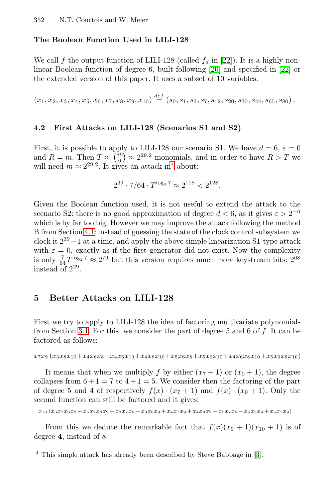#### <span id="page-7-0"></span>**The Boolean Function Used in LILI-128**

We call f the output function of LILI-128 (called  $f_d$  in [\[22\]](#page-14-0)). It is a highly nonlinear Boolean function of degree 6, built following [\[20\]](#page-14-0) and specified in [\[22\]](#page-14-0) or the extended version of this paper. It uses a subset of 10 variables:

 $(x_1, x_2, x_3, x_4, x_5, x_6, x_7, x_8, x_9, x_{10}) \stackrel{def}{=} (s_0, s_1, s_3, s_7, s_{12}, s_{20}, s_{30}, s_{44}, s_{65}, s_{80}).$ 

#### **4.2 First Attacks on LILI-128 (Scenarios S1 and S2)**

First, it is possible to apply to LILI-128 our scenario S1. We have  $d = 6$ ,  $\varepsilon = 0$ and  $R = m$ . Then  $T \approx {89 \choose 6} \approx 2^{29.2}$  monomials, and in order to have  $R > T$  we will need  $m \approx 2^{29.2}$ . It gives an attack in<sup>4</sup> about:

$$
2^{39} \cdot 7/64 \cdot T^{\log_2 7} \approx 2^{118} < 2^{128}.
$$

Given the Boolean function used, it is not useful to extend the attack to the scenario S2: there is no good approximation of degree  $d < 6$ , as it gives  $\varepsilon > 2^{-6}$ which is by far too big. However we may improve the attack following the method B from Section [4.1:](#page-6-0) instead of guessing the state of the clock control subsystem we clock it  $2^{39}-1$  at a time, and apply the above simple linearization S1-type attack with  $\varepsilon = 0$ , exactly as if the first generator did not exist. Now the complexity is only  $\frac{7}{64}T^{\log_2 7} \approx 2^{79}$  but this version requires much more keystream bits:  $2^{68}$ instead of 2<sup>29</sup>.

## **5 Better Attacks on LILI-128**

First we try to apply to LILI-128 the idea of factoring multivariate polynomials from Section [3.1.](#page-5-0) For this, we consider the part of degree 5 and 6 of  $f$ . It can be factored as follows:

 $x_7x_9 (x_3x_8x_{10}+x_4x_6x_8+x_4x_6x_{10}+x_4x_8x_{10}+x_5x_6x_8+x_5x_6x_{10}+x_4x_6x_8x_{10}+x_5x_6x_8x_{10})$ 

It means that when we multiply f by either  $(x_7 + 1)$  or  $(x_9 + 1)$ , the degree collapses from  $6 + 1 = 7$  to  $4 + 1 = 5$ . We consider then the factoring of the part of degree 5 and 4 of respectively  $f(x) \cdot (x_7 + 1)$  and  $f(x) \cdot (x_9 + 1)$ . Only the second function can still be factored and it gives:

 $x_{10} (x_3x_7x_8x_9 + x_5x_7x_8x_9 + x_3x_7x_8 + x_3x_8x_9 + x_4x_7x_9 + x_4x_8x_9 + x_5x_7x_8 + x_5x_7x_9 + x_6x_7x_9)$ 

From this we deduce the remarkable fact that  $f(x)(x_9 + 1)(x_{10} + 1)$  is of degree **4**, instead of 8.

This simple attack has already been described by Steve Babbage in [\[3\]](#page-13-0).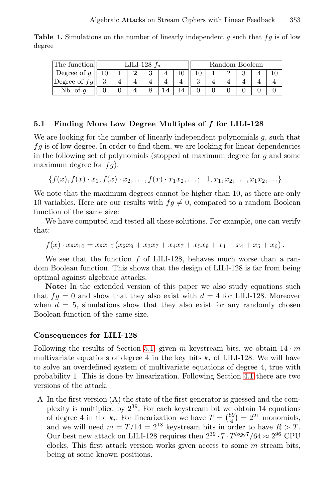<span id="page-8-0"></span>**Table 1.** Simulations on the number of linearly independent g such that  $fg$  is of low degree

|                | LILI-128 $f_d$ |  |  |  |  |  | Random Boolean |  |  |  |  |  |
|----------------|----------------|--|--|--|--|--|----------------|--|--|--|--|--|
| Degree of $q$  |                |  |  |  |  |  |                |  |  |  |  |  |
| Degree of $fq$ |                |  |  |  |  |  |                |  |  |  |  |  |
| Nb. of         |                |  |  |  |  |  |                |  |  |  |  |  |

#### **5.1 Finding More Low Degree Multiples of** *f* **for LILI-128**

We are looking for the number of linearly independent polynomials g, such that  $fg$  is of low degree. In order to find them, we are looking for linear dependencies in the following set of polynomials (stopped at maximum degree for g and some maximum degree for  $fg$ ).

$$
\{f(x), f(x) \cdot x_1, f(x) \cdot x_2, \dots, f(x) \cdot x_1 x_2, \dots; 1, x_1, x_2, \dots, x_1 x_2, \dots\}
$$

We note that the maximum degrees cannot be higher than 10, as there are only 10 variables. Here are our results with  $fg \neq 0$ , compared to a random Boolean function of the same size:

We have computed and tested all these solutions. For example, one can verify that:

$$
f(x) \cdot x_8 x_{10} = x_8 x_{10} (x_2 x_9 + x_3 x_7 + x_4 x_7 + x_5 x_9 + x_1 + x_4 + x_5 + x_6).
$$

We see that the function  $f$  of LILI-128, behaves much worse than a random Boolean function. This shows that the design of LILI-128 is far from being optimal against algebraic attacks.

**Note:** In the extended version of this paper we also study equations such that  $fg = 0$  and show that they also exist with  $d = 4$  for LILI-128. Moreover when  $d = 5$ , simulations show that they also exist for any randomly chosen Boolean function of the same size.

#### **Consequences for LILI-128**

Following the results of Section 5.1, given m keystream bits, we obtain  $14 \cdot m$ multivariate equations of degree 4 in the key bits  $k_i$  of LILI-128. We will have to solve an overdefined system of multivariate equations of degree 4, true with probability 1. This is done by linearization. Following Section [4.1](#page-6-0) there are two versions of the attack.

A In the first version (A) the state of the first generator is guessed and the complexity is multiplied by  $2^{39}$ . For each keystream bit we obtain 14 equations of degree 4 in the  $k_i$ . For linearization we have  $T = \binom{89}{4} = 2^{21}$  monomials, and we will need  $m = T/14 = 2^{18}$  keystream bits in order to have  $R > T$ . Our best new attack on LILI-128 requires then  $2^{39} \cdot 7 \cdot T^{log_2 7}/64 \approx 2^{96}$  CPU clocks. This first attack version works given access to some  $m$  stream bits, being at some known positions.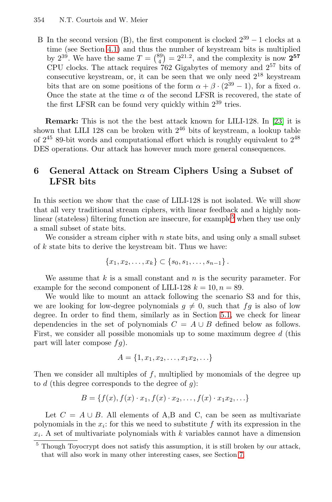<span id="page-9-0"></span>B In the second version (B), the first component is clocked  $2^{39} - 1$  clocks at a time (see Section [4.1\)](#page-6-0) and thus the number of keystream bits is multiplied by  $2^{39}$ . We have the same  $T = \binom{89}{4} = 2^{21.2}$ , and the complexity is now  $2^{57}$ CPU clocks. The attack requires  $762$  Gigabytes of memory and  $2^{57}$  bits of consecutive keystream, or, it can be seen that we only need  $2^{18}$  keystream bits that are on some positions of the form  $\alpha + \beta \cdot (2^{39} - 1)$ , for a fixed  $\alpha$ . Once the state at the time  $\alpha$  of the second LFSR is recovered, the state of the first LFSR can be found very quickly within  $2^{39}$  tries.

**Remark:** This is not the the best attack known for LILI-128. In [\[23\]](#page-14-0) it is shown that LILI 128 can be broken with  $2^{46}$  bits of keystream, a lookup table of  $2^{45}$  89-bit words and computational effort which is roughly equivalent to  $2^{48}$ DES operations. Our attack has however much more general consequences.

# **6 General Attack on Stream Ciphers Using a Subset of LFSR bits**

In this section we show that the case of LILI-128 is not isolated. We will show that all very traditional stream ciphers, with linear feedback and a highly nonlinear (stateless) filtering function are insecure, for example<sup>5</sup> when they use only a small subset of state bits.

We consider a stream cipher with  $n$  state bits, and using only a small subset of k state bits to derive the keystream bit. Thus we have:

$$
\{x_1, x_2, \ldots, x_k\} \subset \{s_0, s_1, \ldots, s_{n-1}\}.
$$

We assume that  $k$  is a small constant and  $n$  is the security parameter. For example for the second component of LILI-128  $k = 10, n = 89$ .

We would like to mount an attack following the scenario S3 and for this, we are looking for low-degree polynomials  $q \neq 0$ , such that  $fg$  is also of low degree. In order to find them, similarly as in Section [5.1,](#page-8-0) we check for linear dependencies in the set of polynomials  $C = A \cup B$  defined below as follows. First, we consider all possible monomials up to some maximum degree d (this part will later compose  $f_q$ ).

$$
A = \{1, x_1, x_2, \dots, x_1 x_2, \dots\}
$$

Then we consider all multiples of f, multiplied by monomials of the degree up to  $d$  (this degree corresponds to the degree of  $g$ ):

$$
B = \{f(x), f(x) \cdot x_1, f(x) \cdot x_2, \dots, f(x) \cdot x_1 x_2, \dots\}
$$

Let  $C = A \cup B$ . All elements of A,B and C, can be seen as multivariate polynomials in the  $x_i$ : for this we need to substitute f with its expression in the  $x_i$ . A set of multivariate polynomials with k variables cannot have a dimension

<sup>&</sup>lt;sup>5</sup> Though Toyocrypt does not satisfy this assumption, it is still broken by our attack, that will also work in many other interesting cases, see Section [7.](#page-11-0)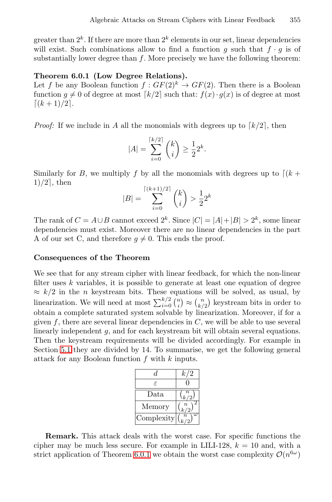greater than  $2^k$ . If there are more than  $2^k$  elements in our set, linear dependencies will exist. Such combinations allow to find a function g such that  $f \cdot g$  is of substantially lower degree than  $f$ . More precisely we have the following theorem:

#### **Theorem 6.0.1 (Low Degree Relations).**

Let f be any Boolean function  $f: GF(2)^k \rightarrow GF(2)$ . Then there is a Boolean function  $g \neq 0$  of degree at most  $\lceil k/2 \rceil$  such that:  $f(x) \cdot g(x)$  is of degree at most  $[(k+1)/2]$ .

*Proof:* If we include in A all the monomials with degrees up to  $\lceil k/2 \rceil$ , then

$$
|A| = \sum_{i=0}^{\lceil k/2 \rceil} {k \choose i} \ge \frac{1}{2} 2^k.
$$

Similarly for B, we multiply f by all the monomials with degrees up to  $[(k +$  $1)/2$ , then

$$
|B| = \sum_{i=0}^{\lceil (k+1)/2 \rceil} {k \choose i} > \frac{1}{2} 2^k
$$

The rank of  $C = A \cup B$  cannot exceed  $2^k$ . Since  $|C| = |A| + |B| > 2^k$ , some linear dependencies must exist. Moreover there are no linear dependencies in the part A of our set C, and therefore  $g \neq 0$ . This ends the proof.

#### **Consequences of the Theorem**

We see that for any stream cipher with linear feedback, for which the non-linear filter uses  $k$  variables, it is possible to generate at least one equation of degree  $\approx k/2$  in the *n* keystream bits. These equations will be solved, as usual, by linearization. We will need at most  $\sum_{i=0}^{k/2} \binom{n}{i} \approx \binom{n}{k/2}$  keystream bits in order to obtain a complete saturated system solvable by linearization. Moreover, if for a given  $f$ , there are several linear dependencies in  $C$ , we will be able to use several linearly independent g, and for each keystream bit will obtain several equations. Then the keystream requirements will be divided accordingly. For example in Section [5.1](#page-8-0) they are divided by 14. To summarise, we get the following general attack for any Boolean function  $f$  with  $k$  inputs.

| d.         | k/2              |
|------------|------------------|
| F.         |                  |
| Data.      | $\binom{n}{k/2}$ |
| Memory     | $\binom{n}{k/2}$ |
| Complexity | $\boldsymbol{n}$ |

**Remark.** This attack deals with the worst case. For specific functions the cipher may be much less secure. For example in LILI-128,  $k = 10$  and, with a strict application of Theorem 6.0.1 we obtain the worst case complexity  $\mathcal{O}(n^{6\omega})$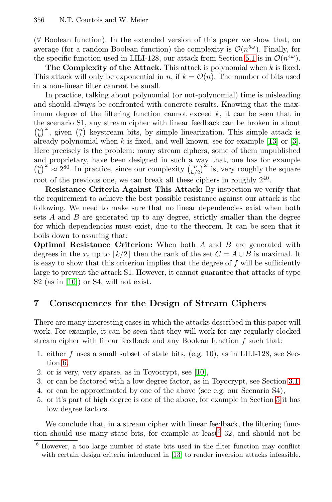<span id="page-11-0"></span>(∀ Boolean function). In the extended version of this paper we show that, on average (for a random Boolean function) the complexity is  $\mathcal{O}(n^{5\omega})$ . Finally, for the specific function used in LILI-128, our attack from Section [5.1](#page-8-0) is in  $\mathcal{O}(n^{4\omega})$ .

**The Complexity of the Attack.** This attack is polynomial when k is fixed. This attack will only be exponential in n, if  $k = \mathcal{O}(n)$ . The number of bits used in a non-linear filter can**not** be small.

In practice, talking about polynomial (or not-polynomial) time is misleading and should always be confronted with concrete results. Knowing that the maximum degree of the filtering function cannot exceed  $k$ , it can be seen that in the scenario S1, any stream cipher with linear feedback can be broken in about  $\binom{n}{k}^{\omega}$ , given  $\binom{n}{k}$  keystream bits, by simple linearization. This simple attack is already polynomial when  $k$  is fixed, and well known, see for example [\[13\]](#page-14-0) or [\[3\]](#page-13-0). Here precisely is the problem: many stream ciphers, some of them unpublished and proprietary, have been designed in such a way that, one has for example  $\binom{n}{k}^{\omega} \approx 2^{80}$ . In practice, since our complexity  $\binom{n}{k/2}^{\omega}$  is, very roughly the square root of the previous one, we can break all these ciphers in roughly  $2^{40}$ .

**Resistance Criteria Against This Attack:** By inspection we verify that the requirement to achieve the best possible resistance against our attack is the following. We need to make sure that no linear dependencies exist when both sets  $A$  and  $B$  are generated up to any degree, strictly smaller than the degree for which dependencies must exist, due to the theorem. It can be seen that it boils down to assuring that:

**Optimal Resistance Criterion:** When both A and B are generated with degrees in the  $x_i$  up to  $|k/2|$  then the rank of the set  $C = A \cup B$  is maximal. It is easy to show that this criterion implies that the degree of  $f$  will be sufficiently large to prevent the attack S1. However, it cannot guarantee that attacks of type S2 (as in [\[10\]](#page-14-0)) or S4, will not exist.

# **7 Consequences for the Design of Stream Ciphers**

There are many interesting cases in which the attacks described in this paper will work. For example, it can be seen that they will work for any regularly clocked stream cipher with linear feedback and any Boolean function  $f$  such that:

- 1. either f uses a small subset of state bits, (e.g. 10), as in LILI-128, see Section [6,](#page-9-0)
- 2. or is very, very sparse, as in Toyocrypt, see [\[10\]](#page-14-0),
- 3. or can be factored with a low degree factor, as in Toyocrypt, see Section [3.1.](#page-5-0)
- 4. or can be approximated by one of the above (see e.g. our Scenario S4),
- 5. or it's part of high degree is one of the above, for example in Section [5](#page-7-0) it has low degree factors.

We conclude that, in a stream cipher with linear feedback, the filtering function should use many state bits, for example at least  $6\,32$ , and should not be

 $6$  However, a too large number of state bits used in the filter function may conflict with certain design criteria introduced in [\[13\]](#page-14-0) to render inversion attacks infeasible.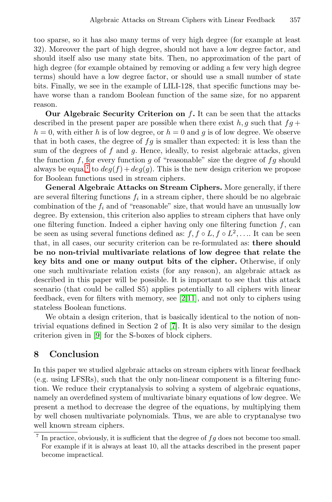too sparse, so it has also many terms of very high degree (for example at least 32). Moreover the part of high degree, should not have a low degree factor, and should itself also use many state bits. Then, no approximation of the part of high degree (for example obtained by removing or adding a few very high degree terms) should have a low degree factor, or should use a small number of state bits. Finally, we see in the example of LILI-128, that specific functions may behave worse than a random Boolean function of the same size, for no apparent reason.

**Our Algebraic Security Criterion on** f**.** It can be seen that the attacks described in the present paper are possible when there exist h, g such that  $fq+$  $h = 0$ , with either h is of low degree, or  $h = 0$  and g is of low degree. We observe that in both cases, the degree of  $fg$  is smaller than expected: it is less than the sum of the degrees of  $f$  and  $g$ . Hence, ideally, to resist algebraic attacks, given the function f, for every function g of "reasonable" size the degree of  $fg$  should always be equal<sup>7</sup> to  $deg(f) + deg(g)$ . This is the new design criterion we propose for Boolean functions used in stream ciphers.

**General Algebraic Attacks on Stream Ciphers.** More generally, if there are several filtering functions  $f_i$  in a stream cipher, there should be no algebraic combination of the  $f_i$  and of "reasonable" size, that would have an unusually low degree. By extension, this criterion also applies to stream ciphers that have only one filtering function. Indeed a cipher having only one filtering function  $f$ , can be seen as using several functions defined as:  $f, f \circ L, f \circ L^2, \ldots$  It can be seen that, in all cases, our security criterion can be re-formulated as: **there should be no non-trivial multivariate relations of low degree that relate the key bits and one or many output bits of the cipher.** Otherwise, if only one such multivariate relation exists (for any reason), an algebraic attack as described in this paper will be possible. It is important to see that this attack scenario (that could be called S5) applies potentially to all ciphers with linear feedback, even for filters with memory, see [\[2,](#page-13-0)[11\]](#page-14-0), and not only to ciphers using stateless Boolean functions.

We obtain a design criterion, that is basically identical to the notion of nontrivial equations defined in Section 2 of [\[7\]](#page-14-0). It is also very similar to the design criterion given in [\[9\]](#page-14-0) for the S-boxes of block ciphers.

## **8 Conclusion**

In this paper we studied algebraic attacks on stream ciphers with linear feedback (e.g. using LFSRs), such that the only non-linear component is a filtering function. We reduce their cryptanalysis to solving a system of algebraic equations, namely an overdefined system of multivariate binary equations of low degree. We present a method to decrease the degree of the equations, by multiplying them by well chosen multivariate polynomials. Thus, we are able to cryptanalyse two well known stream ciphers.

 $7$  In practice, obviously, it is sufficient that the degree of  $fg$  does not become too small. For example if it is always at least 10, all the attacks described in the present paper become impractical.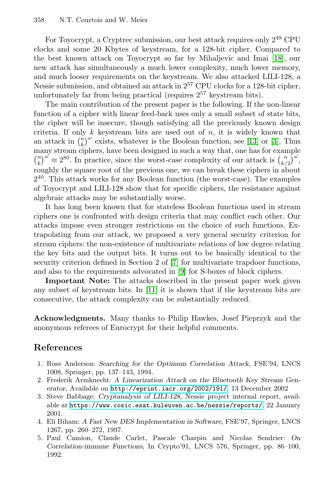<span id="page-13-0"></span>For Toyocrypt, a Cryptrec submission, our best attack requires only 2<sup>49</sup> CPU clocks and some 20 Kbytes of keystream, for a 128-bit cipher. Compared to the best known attack on Toyocrypt so far by Mihaljevic and Imai [\[18\]](#page-14-0), our new attack has simultaneously a much lower complexity, much lower memory, and much looser requirements on the keystream. We also attacked LILI-128, a Nessie submission, and obtained an attack in 2<sup>57</sup> CPU clocks for a 128-bit cipher, unfortunately far from being practical (requires  $2^{57}$  keystream bits).

The main contribution of the present paper is the following. If the non-linear function of a cipher with linear feed-back uses only a small subset of state bits, the cipher will be insecure, though satisfying all the previously known design criteria. If only k keystream bits are used out of  $n$ , it is widely known that an attack in  $\binom{n}{k}^{\omega}$  exists, whatever is the Boolean function, see [\[13\]](#page-14-0) or [3]. Thus many stream ciphers, have been designed in such a way that, one has for example  $\binom{n}{k}^{\omega} \approx 2^{80}$ . In practice, since the worst-case complexity of our attack is  $\binom{n}{k/2}^{\omega}$ , roughly the square root of the previous one, we can break these ciphers in about 2<sup>40</sup>. This attack works for any Boolean function (the worst-case). The examples of Toyocrypt and LILI-128 show that for specific ciphers, the resistance against algebraic attacks may be substantially worse.

It has long been known that for stateless Boolean functions used in stream ciphers one is confronted with design criteria that may conflict each other. Our attacks impose even stronger restrictions on the choice of such functions. Extrapolating from our attack, we proposed a very general security criterion for stream ciphers: the non-existence of multivariate relations of low degree relating the key bits and the output bits. It turns out to be basically identical to the security criterion defined in Section 2 of [\[7\]](#page-14-0) for multivariate trapdoor functions, and also to the requirements advocated in [\[9\]](#page-14-0) for S-boxes of block ciphers.

**Important Note:** The attacks described in the present paper work given any subset of keystream bits. In [\[11\]](#page-14-0) it is shown that if the keystream bits are consecutive, the attack complexity can be substantially reduced.

**Acknowledgments.** Many thanks to Philip Hawkes, Josef Pieprzyk and the anonymous referees of Eurocrypt for their helpful comments.

# **References**

- 1. Ross Anderson: *Searching for the Optimum Correlation Attack,* FSE'94, LNCS 1008, Springer, pp. 137–143, 1994.
- 2. Frederik Armknecht: *A Linearization Attack on the Bluetooth Key Stream Generator,* Available on <http://eprint.iacr.org/2002/191/>. 13 December 2002
- 3. Steve Babbage: *Cryptanalysis of LILI-128,* Nessie project internal report, available at <https://www.cosic.esat.kuleuven.ac.be/nessie/reports/>, 22 January 2001.
- 4. Eli Biham: *A Fast New DES Implementation in Software,* FSE'97, Springer, LNCS 1267, pp. 260–272, 1997.
- 5. Paul Camion, Claude Carlet, Pascale Charpin and Nicolas Sendrier: *On Correlation-immune Functions,* In Crypto'91, LNCS 576, Springer, pp. 86–100, 1992.